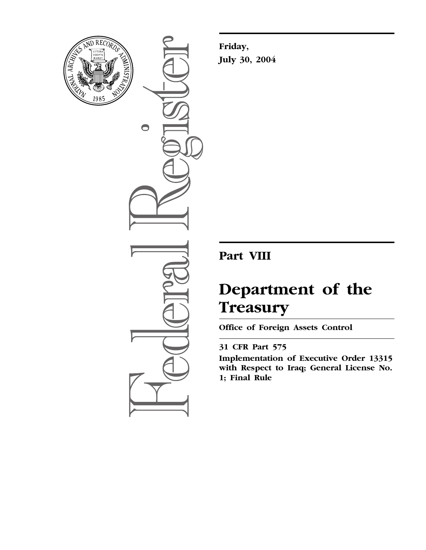

 $\bullet$ 

**Friday, July 30, 2004**

## **Part VIII**

# **Department of the Treasury**

**Office of Foreign Assets Control** 

### **31 CFR Part 575**

**Implementation of Executive Order 13315 with Respect to Iraq; General License No. 1; Final Rule**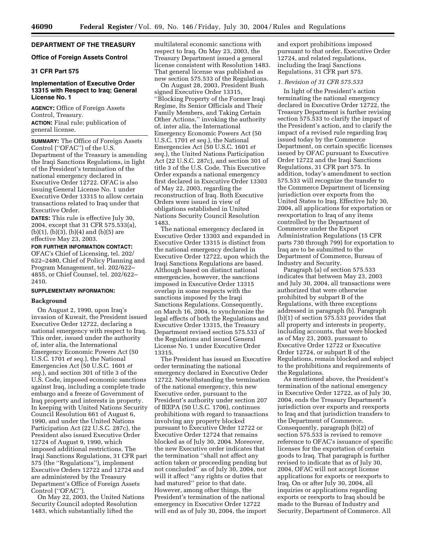#### **DEPARTMENT OF THE TREASURY**

#### **Office of Foreign Assets Control**

#### **31 CFR Part 575**

#### **Implementation of Executive Order 13315 with Respect to Iraq; General License No. 1**

**AGENCY:** Office of Foreign Assets Control, Treasury. **ACTION:** Final rule; publication of general license.

**SUMMARY:** The Office of Foreign Assets Control (''OFAC'') of the U.S. Department of the Treasury is amending the Iraqi Sanctions Regulations, in light of the President's termination of the national emergency declared in Executive Order 12722. OFAC is also issuing General License No. 1 under Executive Order 13315 to allow certain transactions related to Iraq under that Executive Order.

**DATES:** This rule is effective July 30, 2004, except that 31 CFR 575.533(a), (b)(1), (b)(3), (b)(4) and (b)(5) are effective May 23, 2003.

**FOR FURTHER INFORMATION CONTACT:** OFAC's Chief of Licensing, tel. 202/ 622–2480, Chief of Policy Planning and Program Management, tel. 202/622– 4855, or Chief Counsel, tel. 202/622– 2410.

#### **SUPPLEMENTARY INFORMATION:**

#### **Background**

On August 2, 1990, upon Iraq's invasion of Kuwait, the President issued Executive Order 12722, declaring a national emergency with respect to Iraq. This order, issued under the authority of, inter alia, the International Emergency Economic Powers Act (50 U.S.C. 1701 *et seq.*), the National Emergencies Act (50 U.S.C. 1601 *et seq.*), and section 301 of title 3 of the U.S. Code, imposed economic sanctions against Iraq, including a complete trade embargo and a freeze of Government of Iraq property and interests in property. In keeping with United Nations Security Council Resolution 661 of August 6, 1990, and under the United Nations Participation Act (22 U.S.C. 287c), the President also issued Executive Order 12724 of August 9, 1990, which imposed additional restrictions. The Iraqi Sanctions Regulations, 31 CFR part 575 (the ''Regulations''), implement Executive Orders 12722 and 12724 and are administered by the Treasury Department's Office of Foreign Assets Control (''OFAC'').

On May 22, 2003, the United Nations Security Council adopted Resolution 1483, which substantially lifted the

multilateral economic sanctions with respect to Iraq. On May 23, 2003, the Treasury Department issued a general license consistent with Resolution 1483. That general license was published as new section 575.533 of the Regulations.

On August 28, 2003, President Bush signed Executive Order 13315, ''Blocking Property of the Former Iraqi Regime, Its Senior Officials and Their Family Members, and Taking Certain Other Actions,'' invoking the authority of, inter alia, the International Emergency Economic Powers Act (50 U.S.C. 1701 *et seq.*), the National Emergencies Act (50 U.S.C. 1601 *et seq.*), the United Nations Participation Act (22 U.S.C. 287c), and section 301 of title 3 of the U.S. Code. This Executive Order expands a national emergency first declared in Executive Order 13303 of May 22, 2003, regarding the reconstruction of Iraq. Both Executive Orders were issued in view of obligations established in United Nations Security Council Resolution 1483.

The national emergency declared in Executive Order 13303 and expanded in Executive Order 13315 is distinct from the national emergency declared in Executive Order 12722, upon which the Iraqi Sanctions Regulations are based. Although based on distinct national emergencies, however, the sanctions imposed in Executive Order 13315 overlap in some respects with the sanctions imposed by the Iraqi Sanctions Regulations. Consequently, on March 16, 2004, to synchronize the legal effects of both the Regulations and Executive Order 13315, the Treasury Department revised section 575.533 of the Regulations and issued General License No. 1 under Executive Order 13315.

The President has issued an Executive order terminating the national emergency declared in Executive Order 12722. Notwithstanding the termination of the national emergency, this new Executive order, pursuant to the President's authority under section 207 of IEEPA (50 U.S.C. 1706), continues prohibitions with regard to transactions involving any property blocked pursuant to Executive Order 12722 or Executive Order 12724 that remains blocked as of July 30, 2004. Moreover, the new Executive order indicates that the termination ''shall not affect any action taken or proceeding pending but not concluded'' as of July 30, 2004, nor will it affect ''any rights or duties that had matured" prior to that date. However, among other things, the President's termination of the national emergency in Executive Order 12722 will end as of July 30, 2004, the import

and export prohibitions imposed pursuant to that order, Executive Order 12724, and related regulations, including the Iraqi Sanctions Regulations, 31 CFR part 575.

#### *1. Revision of 31 CFR 575.533*

In light of the President's action terminating the national emergency declared in Executive Order 12722, the Treasury Department is further revising section 575.533 to clarify the impact of the President's action, and to clarify the impact of a revised rule regarding Iraq issued today by the Commerce Department, on certain specific licenses issued by OFAC pursuant to Executive Order 12722 and the Iraqi Sanctions Regulations, 31 CFR part 575. In addition, today's amendment to section 575.533 will recognize the transfer to the Commerce Department of licensing jurisdiction over exports from the United States to Iraq. Effective July 30, 2004, all applications for exportation or reexportation to Iraq of any items controlled by the Department of Commerce under the Export Administration Regulations (15 CFR parts 730 through 799) for exportation to Iraq are to be submitted to the Department of Commerce, Bureau of Industry and Security.

Paragraph (a) of section 575.533 indicates that between May 23, 2003 and July 30, 2004, all transactions were authorized that were otherwise prohibited by subpart B of the Regulations, with three exceptions addressed in paragraph (b). Paragraph (b)(1) of section 575.533 provides that all property and interests in property, including accounts, that were blocked as of May 23, 2003, pursuant to Executive Order 12722 or Executive Order 12724, or subpart B of the Regulations, remain blocked and subject to the prohibitions and requirements of the Regulations.

As mentioned above, the President's termination of the national emergency in Executive Order 12722, as of July 30, 2004, ends the Treasury Department's jurisdiction over exports and reexports to Iraq and that jurisdiction transfers to the Department of Commerce. Consequently, paragraph (b)(2) of section 575.533 is revised to remove reference to OFAC's issuance of specific licenses for the exportation of certain goods to Iraq. That paragraph is further revised to indicate that as of July 30, 2004, OFAC will not accept license applications for exports or reexports to Iraq. On or after July 30, 2004, all inquiries or applications regarding exports or reexports to Iraq should be made to the Bureau of Industry and Security, Department of Commerce. All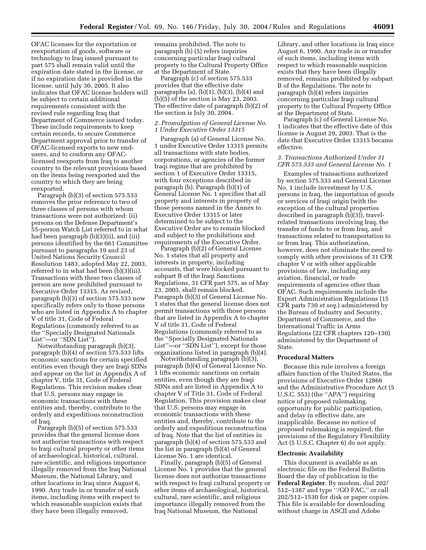OFAC licenses for the exportation or reexportation of goods, software or technology to Iraq issued pursuant to part 575 shall remain valid until the expiration date stated in the license, or if no expiration date is provided in the license, until July 30, 2005. It also indicates that OFAC license holders will be subject to certain additional requirements consistent with the revised rule regarding Iraq that Department of Commerce issued today. These include requirements to keep certain records, to secure Commerce Department approval prior to transfer of OFAC-licensed exports to new endusers, and to conform any OFAClicensed reexports from Iraq to another country to the relevant provisions based on the items being reexported and the country to which they are being reexported.

Paragraph (b)(3) of section 575.533 removes the prior reference to two of three classes of persons with whom transactions were not authorized: (ii) persons on the Defense Department's 55-person Watch List referred to in what had been paragraph (b)(3)(ii), and (iii) persons identified by the 661 Committee pursuant to paragraphs 19 and 23 of United Nations Security Council Resolution 1483, adopted May 22, 2003, referred to in what had been (b)(3)(iii). Transactions with these two classes of person are now prohibited pursuant to Executive Order 13315. As revised, paragraph (b)(3) of section 575.533 now specifically refers only to those persons who are listed in Appendix A to chapter V of title 31, Code of Federal Regulations (commonly referred to as the ''Specially Designated Nationals List"—or "SDN List").

Notwithstanding paragraph (b)(3), paragraph (b)(4) of section 575.533 lifts economic sanctions for certain specified entities even though they are Iraqi SDNs and appear on the list in Appendix A of chapter V, title 31, Code of Federal Regulations. This revision makes clear that U.S. persons may engage in economic transactions with these entities and, thereby, contribute to the orderly and expeditious reconstruction of Iraq.

Paragraph (b)(5) of section 575.533 provides that the general license does not authorize transactions with respect to Iraqi cultural property or other items of archaeological, historical, cultural, rare scientific, and religious importance illegally removed from the Iraq National Museum, the National Library, and other locations in Iraq since August 6, 1990. Any trade in or transfer of such items, including items with respect to which reasonable suspicion exists that they have been illegally removed,

remains prohibited. The note to paragraph (b) (5) refers inquiries concerning particular Iraqi cultural property to the Cultural Property Office at the Department of State.

Paragraph (c) of section 575.533 provides that the effective date paragraphs (a),  $(b)(1)$ ,  $(b)(3)$ ,  $(b)(4)$  and (b)(5) of the section is May 23, 2003. The effective date of paragraph (b)(2) of the section is July 30, 2004.

#### *2. Promulgation of General License No. 1 Under Executive Order 13315*

Paragraph (a) of General License No. 1 under Executive Order 13315 permits all transactions with state bodies, corporations, or agencies of the former Iraqi regime that are prohibited by section 1 of Executive Order 13315, with four exceptions described in paragraph (b). Paragraph (b)(1) of General License No. 1 specifies that all property and interests in property of those persons named in the Annex to Executive Order 13315 or later determined to be subject to the Executive Order are to remain blocked and subject to the prohibitions and requirements of the Executive Order.

Paragraph (b)(2) of General License No. 1 states that all property and interests in property, including accounts, that were blocked pursuant to subpart B of the Iraqi Sanctions Regulations, 31 CFR part 575, as of May 23, 2003, shall remain blocked. Paragraph (b)(3) of General License No. 1 states that the general license does not permit transactions with those persons that are listed in Appendix A to chapter V of title 31, Code of Federal Regulations (commonly referred to as the ''Specially Designated Nationals List''—or ''SDN List''), except for those organizations listed in paragraph (b)(4).

Notwithstanding paragraph (b)(3), paragraph (b)(4) of General License No. 1 lifts economic sanctions on certain entities, even though they are Iraqi SDNs and are listed in Appendix A to chapter V of Title 31, Code of Federal Regulation. This provision makes clear that U.S. persons may engage in economic transactions with these entities and, thereby, contribute to the orderly and expeditious reconstruction of Iraq. Note that the list of entities in paragraph (b)(4) of section 575.533 and the list in paragraph (b)(4) of General License No. 1 are identical.

Finally, paragraph (b)(5) of General License No. 1 provides that the general license does not authorize transactions with respect to Iraqi cultural property or other items of archaeological, historical, cultural, rare scientific, and religious importance illegally removed from the Iraq National Museum, the National

Library, and other locations in Iraq since August 6, 1990. Any trade in or transfer of such items, including items with respect to which reasonable suspicion exists that they have been illegally removed, remains prohibited by subpart B of the Regulations. The note to paragraph (b)(4) refers inquiries concerning particular Iraqi cultural property to the Cultural Property Office at the Department of State.

Paragraph (c) of General License No. 1 indicates that the effective date of this license is August 29, 2003. That is the date that Executive Order 13315 became effective.

#### *3. Transactions Authorized Under 31 CFR 575.533 and General License No. 1*

Examples of transactions authorized by section 575.533 and General License No. 1 include investment by U.S. persons in Iraq, the importation of goods or services of Iraqi origin (with the exception of the cultural properties described in paragraph (b)(3)), travelrelated transactions involving Iraq, the transfer of funds to or from Iraq, and transactions related to transportation to or from Iraq. This authorization, however, does not eliminate the need to comply with other provisions of 31 CFR chapter V or with other applicable provisions of law, including any aviation, financial, or trade requirements of agencies other than OFAC. Such requirements include the Export Administration Regulations (15 CFR parts 730 *et seq.*) administered by the Bureau of Industry and Security, Department of Commerce, and the International Traffic in Arms Regulations (22 CFR chapters 120–130) administered by the Department of State.

#### **Procedural Matters**

Because this rule involves a foreign affairs function of the United States, the provisions of Executive Order 12866 and the Administrative Procedure Act (5 U.S.C. 553) (the ''APA'') requiring notice of proposed rulemaking, opportunity for public participation, and delay in effective date, are inapplicable. Because no notice of proposed rulemaking is required, the provisions of the Regulatory Flexibility Act (5 U.S.C. Chapter 6) do not apply.

#### **Electronic Availability**

This document is available as an electronic file on the Federal Bulletin Board the day of publication in the **Federal Register**. By modem, dial 202/ 512–1387 and type ''/GO FAC,'' or call 202/512–1530 for disk or paper copies. This file is available for downloading without charge in ASCII and Adobe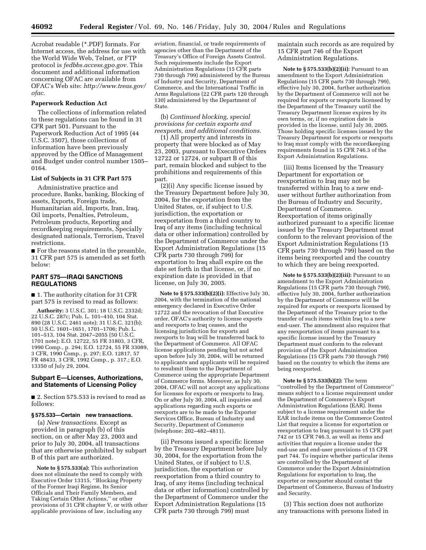Acrobat readable (\*.PDF) formats. For Internet access, the address for use with the World Wide Web, Telnet, or FTP protocol is *fedbbs.access.gpo.gov.* This document and additional information concerning OFAC are available from OFAC's Web site: *http://www.treas.gov/ ofac.*

#### **Paperwork Reduction Act**

The collections of information related to these regulations can be found in 31 CFR part 501. Pursuant to the Paperwork Reduction Act of 1995 (44 U.S.C. 3507), those collections of information have been previously approved by the Office of Management and Budget under control number 1505– 0164.

#### **List of Subjects in 31 CFR Part 575**

Administrative practice and procedure, Banks, banking, Blocking of assets, Exports, Foreign trade, Humanitarian aid, Imports, Iran, Iraq, Oil imports, Penalties, Petroleum, Petroleum products, Reporting and recordkeeping requirements, Specially designated nationals, Terrorism, Travel restrictions.

■ For the reasons stated in the preamble, 31 CFR part 575 is amended as set forth below:

#### **PART 575—IRAQI SANCTIONS REGULATIONS**

■ 1. The authority citation for 31 CFR part 575 is revised to read as follows:

**Authority:** 3 U.S.C. 301; 18 U.S.C. 2332d; 22 U.S.C. 287c; Pub. L. 101–410, 104 Stat. 890 (28 U.S.C. 2461 note); 31 U.S.C. 321(b); 50 U.S.C. 1601–1651, 1701–1706; Pub. L. 101–513, 104 Stat. 2047–2055 (50 U.S.C. 1701 note); E.O. 12722, 55 FR 31803, 3 CFR, 1990 Comp., p. 294; E.O. 12724, 55 FR 33089, 3 CFR, 1990 Comp., p. 297; E.O. 12817, 57 FR 48433, 3 CFR, 1992 Comp., p. 317.; E.O. 13350 of July 29, 2004.

#### **Subpart E—Licenses, Authorizations, and Statements of Licensing Policy**

■ 2. Section 575.533 is revised to read as follows:

#### **§ 575.533—Certain new transactions.**

(a) *New transactions.* Except as provided in paragraph (b) of this section, on or after May 23, 2003 and prior to July 30, 2004, all transactions that are otherwise prohibited by subpart B of this part are authorized.

**Note to § 575.533(a):** This authorization does not eliminate the need to comply with Executive Order 13315, ''Blocking Property of the Former Iraqi Regime, Its Senior Officials and Their Family Members, and Taking Certain Other Actions,'' or other provisions of 31 CFR chapter V, or with other applicable provisions of law, including any

aviation, financial, or trade requirements of agencies other than the Department of the Treasury's Office of Foreign Assets Control. Such requirements include the Export Administration Regulations (15 CFR parts 730 through 799) administered by the Bureau of Industry and Security, Department of Commerce, and the International Traffic in Arms Regulations (22 CFR parts 120 through 130) administered by the Department of State.

(b) *Continued blocking, special provisions for certain exports and reexports, and additional conditions.*

(1) All property and interests in property that were blocked as of May 23, 2003, pursuant to Executive Orders 12722 or 12724, or subpart B of this part, remain blocked and subject to the prohibitions and requirements of this part.

(2)(i) Any specific license issued by the Treasury Department before July 30, 2004, for the exportation from the United States, or, if subject to U.S. jurisdiction, the exportation or reexportation from a third country to Iraq of any items (including technical data or other information) controlled by the Department of Commerce under the Export Administration Regulations (15 CFR parts 730 through 799) for exportation to Iraq shall expire on the date set forth in that license, or, if no expiration date is provided in that license, on July 30, 2005.

**Note to § 575.533(b)(2)(i):** Effective July 30, 2004, with the termination of the national emergency declared in Executive Order 12722 and the revocation of that Executive order, OFAC's authority to license exports and reexports to Iraq ceases, and the licensing jurisdiction for exports and reexports to Iraq will be transferred back to the Department of Commerce. All OFAC license applications pending but not acted upon before July 30, 2004, will be returned to applicants and applicants will be required to resubmit them to the Department of Commerce using the appropriate Department of Commerce forms. Moreover, as July 30, 2004, OFAC will not accept any applications for licenses for exports or reexports to Iraq. On or after July 30, 2004, all inquiries and applications regarding such exports or reexports are to be made to the Exporter Services Office, Bureau of Industry and Security, Department of Commerce (telephone: 202–482–4811).

(ii) Persons issued a specific license by the Treasury Department before July 30, 2004, for the exportation from the United States, or if subject to U.S. jurisdiction, the exportation or reexportation from a third country to Iraq, of any items (including technical data or other information) controlled by the Department of Commerce under the Export Administration Regulations (15 CFR parts 730 through 799) must

maintain such records as are required by 15 CFR part 746 of the Export Administration Regulations.

**Note to § 575.533(b)(2)(ii):** Pursuant to an amendment to the Export Administration Regulations (15 CFR parts 730 through 799), effective July 30, 2004, further authorization by the Department of Commerce will not be required for exports or reexports licensed by the Department of the Treasury until the Treasury Department license expires by its own terms, or, if no expiration date is provided in the license, until July 30, 2005. Those holding specific licenses issued by the Treasury Department for exports or reexports to Iraq must comply with the recordkeeping requirements found in 15 CFR 746.3 of the Export Administration Regulations.

(iii) Items licensed by the Treasury Department for exportation or reexportation to Iraq may not be transferred within Iraq to a new enduser without further authorization from the Bureau of Industry and Security, Department of Commerce. Reexportation of items originally authorized pursuant to a specific license issued by the Treasury Department must conform to the relevant provision of the Export Administration Regulations (15 CFR parts 730 through 799) based on the items being reexported and the country to which they are being reexported.

**Note to § 575.533(b)(2)(iii):** Pursuant to an amendment to the Export Administration Regulations (15 CFR parts 730 through 799), effective July 30, 2004, further authorization by the Department of Commerce will be required for exports or reexports licensed by the Department of the Treasury prior to the transfer of such items within Iraq to a new end-user. The amendment also requires that any reexportation of items pursuant to a specific license issued by the Treasury Department must conform to the relevant provision of the Export Administration Regulations (15 CFR parts 730 through 799) based on the country to which the items are being reexported.

**Note to § 575.533(b)(2):** The term ''controlled by the Department of Commerce'' means subject to a license requirement under the Department of Commerce's Export Administration Regulations (EAR). Items subject to a license requirement under the EAR include items on the Commerce Control List that require a license for exportation or reexportation to Iraq pursuant to 15 CFR part 742 or 15 CFR 746.3, as well as items and activities that require a license under the end-use and end-user provisions of 15 CFR part 744. To inquire whether particular items are controlled by the Department of Commerce under the Export Administration Regulations for exportation to Iraq, the exporter or reexporter should contact the Department of Commerce, Bureau of Industry and Security.

(3) This section does not authorize any transactions with persons listed in